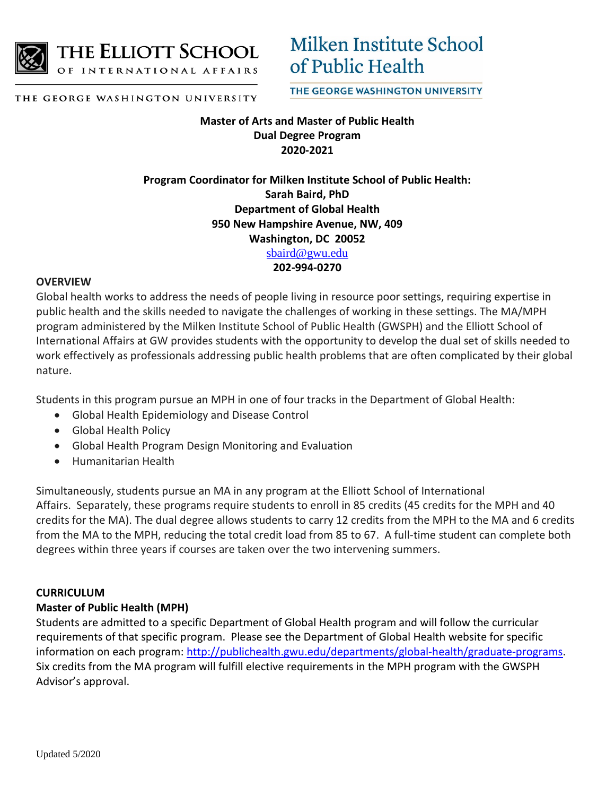

THE ELLIOTT SCHOOL

OF INTERNATIONAL AFFAIRS

Milken Institute School of Public Health

THE GEORGE WASHINGTON UNIVERSITY

THE GEORGE WASHINGTON UNIVERSITY

# **Master of Arts and Master of Public Health Dual Degree Program 2020-2021**

# **Program Coordinator for Milken Institute School of Public Health: Sarah Baird, PhD Department of Global Health 950 New Hampshire Avenue, NW, 409 Washington, DC 20052**  [sbaird@gwu.edu](mailto:sbaird@gwu.edu)

## **202-994-0270**

## **OVERVIEW**

Global health works to address the needs of people living in resource poor settings, requiring expertise in public health and the skills needed to navigate the challenges of working in these settings. The MA/MPH program administered by the Milken Institute School of Public Health (GWSPH) and the Elliott School of International Affairs at GW provides students with the opportunity to develop the dual set of skills needed to work effectively as professionals addressing public health problems that are often complicated by their global nature.

Students in this program pursue an MPH in one of four tracks in the Department of Global Health:

- Global Health Epidemiology and Disease Control
- Global Health Policy
- Global Health Program Design Monitoring and Evaluation
- Humanitarian Health

Simultaneously, students pursue an MA in any program at the Elliott School of International Affairs. Separately, these programs require students to enroll in 85 credits (45 credits for the MPH and 40 credits for the MA). The dual degree allows students to carry 12 credits from the MPH to the MA and 6 credits from the MA to the MPH, reducing the total credit load from 85 to 67. A full-time student can complete both degrees within three years if courses are taken over the two intervening summers.

## **CURRICULUM**

## **Master of Public Health (MPH)**

Students are admitted to a specific Department of Global Health program and will follow the curricular requirements of that specific program. Please see the Department of Global Health website for specific information on each program[: http://publichealth.gwu.edu/departments/global-health/graduate-programs.](http://publichealth.gwu.edu/departments/global-health/graduate-programs) Six credits from the MA program will fulfill elective requirements in the MPH program with the GWSPH Advisor's approval.